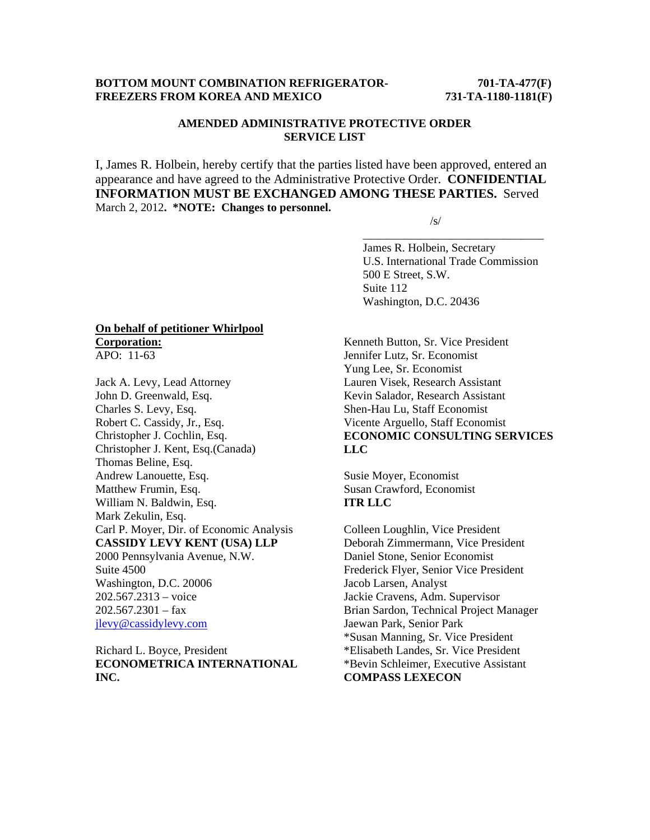## **BOTTOM MOUNT COMBINATION REFRIGERATOR-** 701-TA-477(F) **FREEZERS FROM KOREA AND MEXICO 731-TA-1180-1181(F)**

# **AMENDED ADMINISTRATIVE PROTECTIVE ORDER SERVICE LIST**

I, James R. Holbein, hereby certify that the parties listed have been approved, entered an appearance and have agreed to the Administrative Protective Order. **CONFIDENTIAL INFORMATION MUST BE EXCHANGED AMONG THESE PARTIES.** Served March 2, 2012**. \*NOTE: Changes to personnel.** 

 $\overline{\phantom{a}}$  , and the contract of the contract of the contract of the contract of the contract of the contract of the contract of the contract of the contract of the contract of the contract of the contract of the contrac

 $\sqrt{s}$ /s/

 James R. Holbein, Secretary U.S. International Trade Commission 500 E Street, S.W. Suite 112 Washington, D.C. 20436

### **On behalf of petitioner Whirlpool Corporation:** APO: 11-63

Jack A. Levy, Lead Attorney John D. Greenwald, Esq. Charles S. Levy, Esq. Robert C. Cassidy, Jr., Esq. Christopher J. Cochlin, Esq. Christopher J. Kent, Esq.(Canada) Thomas Beline, Esq. Andrew Lanouette, Esq. Matthew Frumin, Esq. William N. Baldwin, Esq. Mark Zekulin, Esq. Carl P. Moyer, Dir. of Economic Analysis **CASSIDY LEVY KENT (USA) LLP**  2000 Pennsylvania Avenue, N.W. Suite 4500 Washington, D.C. 20006 202.567.2313 – voice  $202.567.2301 - fax$ jlevy@cassidylevy.com

Richard L. Boyce, President **ECONOMETRICA INTERNATIONAL INC.**

Kenneth Button, Sr. Vice President Jennifer Lutz, Sr. Economist Yung Lee, Sr. Economist Lauren Visek, Research Assistant Kevin Salador, Research Assistant Shen-Hau Lu, Staff Economist Vicente Arguello, Staff Economist **ECONOMIC CONSULTING SERVICES LLC** 

Susie Moyer, Economist Susan Crawford, Economist **ITR LLC** 

Colleen Loughlin, Vice President Deborah Zimmermann, Vice President Daniel Stone, Senior Economist Frederick Flyer, Senior Vice President Jacob Larsen, Analyst Jackie Cravens, Adm. Supervisor Brian Sardon, Technical Project Manager Jaewan Park, Senior Park \*Susan Manning, Sr. Vice President \*Elisabeth Landes, Sr. Vice President \*Bevin Schleimer, Executive Assistant **COMPASS LEXECON**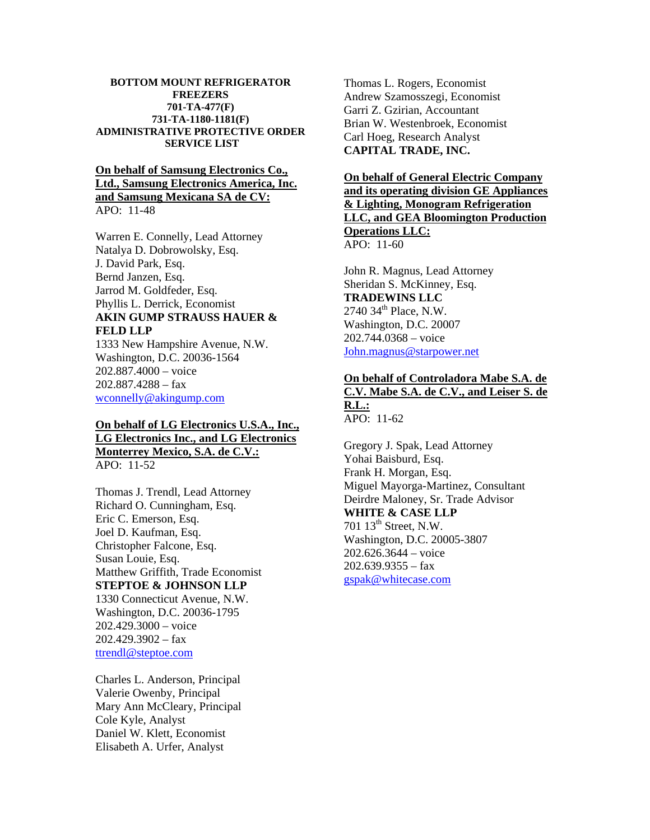#### **BOTTOM MOUNT REFRIGERATOR FREEZERS 701-TA-477(F) 731-TA-1180-1181(F) ADMINISTRATIVE PROTECTIVE ORDER SERVICE LIST**

## **On behalf of Samsung Electronics Co., Ltd., Samsung Electronics America, Inc. and Samsung Mexicana SA de CV:** APO: 11-48

Warren E. Connelly, Lead Attorney Natalya D. Dobrowolsky, Esq. J. David Park, Esq. Bernd Janzen, Esq. Jarrod M. Goldfeder, Esq. Phyllis L. Derrick, Economist **AKIN GUMP STRAUSS HAUER & FELD LLP**

1333 New Hampshire Avenue, N.W. Washington, D.C. 20036-1564 202.887.4000 – voice 202.887.4288 – fax wconnelly@akingump.com

## **On behalf of LG Electronics U.S.A., Inc., LG Electronics Inc., and LG Electronics Monterrey Mexico, S.A. de C.V.:** APO: 11-52

Thomas J. Trendl, Lead Attorney Richard O. Cunningham, Esq. Eric C. Emerson, Esq. Joel D. Kaufman, Esq. Christopher Falcone, Esq. Susan Louie, Esq. Matthew Griffith, Trade Economist **STEPTOE & JOHNSON LLP** 1330 Connecticut Avenue, N.W. Washington, D.C. 20036-1795 202.429.3000 – voice  $202.429.3902 - fax$ ttrendl@steptoe.com

Charles L. Anderson, Principal Valerie Owenby, Principal Mary Ann McCleary, Principal Cole Kyle, Analyst Daniel W. Klett, Economist Elisabeth A. Urfer, Analyst

Thomas L. Rogers, Economist Andrew Szamosszegi, Economist Garri Z. Gzirian, Accountant Brian W. Westenbroek, Economist Carl Hoeg, Research Analyst **CAPITAL TRADE, INC.** 

## **On behalf of General Electric Company and its operating division GE Appliances & Lighting, Monogram Refrigeration LLC, and GEA Bloomington Production Operations LLC:**  APO: 11-60

John R. Magnus, Lead Attorney Sheridan S. McKinney, Esq. **TRADEWINS LLC** 2740 34<sup>th</sup> Place, N.W. Washington, D.C. 20007 202.744.0368 – voice John.magnus@starpower.net

# **On behalf of Controladora Mabe S.A. de C.V. Mabe S.A. de C.V., and Leiser S. de R.L.:**

APO: 11-62

Gregory J. Spak, Lead Attorney Yohai Baisburd, Esq. Frank H. Morgan, Esq. Miguel Mayorga-Martinez, Consultant Deirdre Maloney, Sr. Trade Advisor **WHITE & CASE LLP** 701 13<sup>th</sup> Street, N.W. Washington, D.C. 20005-3807 202.626.3644 – voice  $202.639.9355 - fax$ gspak@whitecase.com